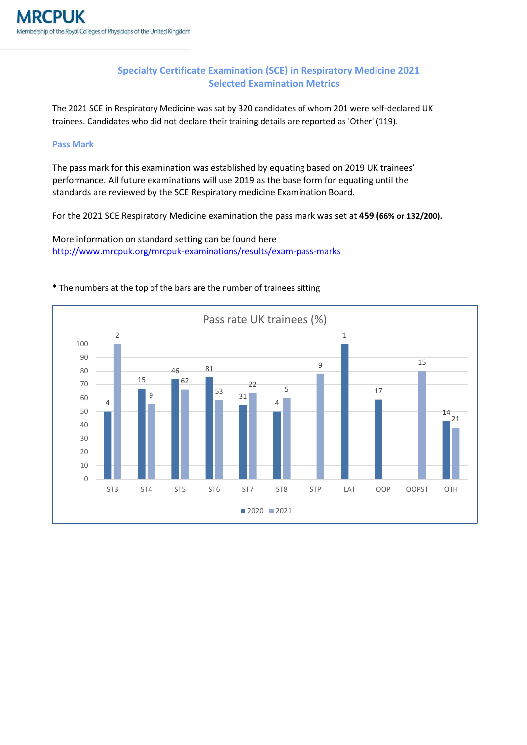## **Specialty Certificate Examination (SCE) in Respiratory Medicine 2021 Selected Examination Metrics**

The 2021 SCE in Respiratory Medicine was sat by 320 candidates of whom 201 were self-declared UK trainees. Candidates who did not declare their training details are reported as 'Other' (119).

## **Pass Mark**

The pass mark for this examination was established by equating based on 2019 UK trainees' performance. All future examinations will use 2019 as the base form for equating until the standards are reviewed by the SCE Respiratory medicine Examination Board.

For the 2021 SCE Respiratory Medicine examination the pass mark was set at **459 (66% or 132/200).**

More information on standard setting can be found here <http://www.mrcpuk.org/mrcpuk-examinations/results/exam-pass-marks>



## \* The numbers at the top of the bars are the number of trainees sitting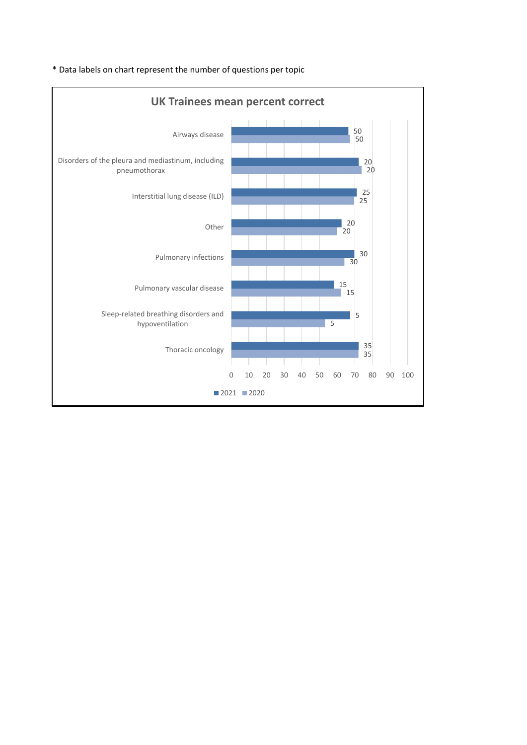

\* Data labels on chart represent the number of questions per topic